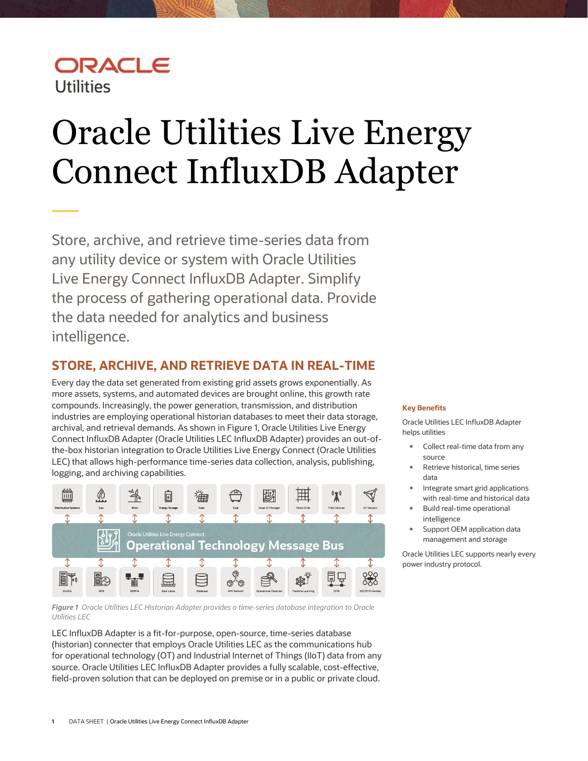# ORACLE **Utilities**

# <span id="page-0-0"></span>Oracle Utilities Live Energy Connect InfluxDB Adapter

Store, archive, and retrieve time-series data from any utility device or system with Oracle Utilities Live Energy Connect InfluxDB Adapter. Simplify the process of gathering operational data. Provide the data needed for analytics and business intelligence.

## **STORE, ARCHIVE, AND RETRIEVE DATA IN REAL-TIME**

Every day the data set generated from existing grid assets grows exponentially. As more assets, systems, and automated devices are brought online, this growth rate compounds. Increasingly, the power generation, transmission, and distribution industries are employing operational historian databases to meet their data storage, archival, and retrieval demands. As shown in Figure 1, Oracle Utilities Live Energy Connect InfluxDB Adapter (Oracle Utilities LEC InfluxDB Adapter) provides an out-ofthe-box historian integration to Oracle Utilities Live Energy Connect (Oracle Utilities LEC) that allows high-performance time-series data collection, analysis, publishing, logging, and archiving capabilities.



*Figure 1 Oracle Utilities LEC Historian Adapter provides a time-series database integration to Oracle Utilities LEC*

LEC InfluxDB Adapter is a fit-for-purpose, open-source, time-series database (historian) connecter that employs Oracle Utilities LEC as the communications hub for operational technology (OT) and Industrial Internet of Things (IIoT) data from any source. Oracle Utilities LEC InfluxDB Adapter provides a fully scalable, cost-effective, field-proven solution that can be deployed on premise or in a public or private cloud.

#### **Key Benefits**

Oracle Utilities LEC InfluxDB Adapter helps utilities

- Collect real-time data from any source
- Retrieve historical, time series data
- Integrate smart grid applications with real-time and historical data
- Build real-time operational intelligence
- Support OEM application data management and storage

Oracle Utilities LEC supports nearly every power industry protocol.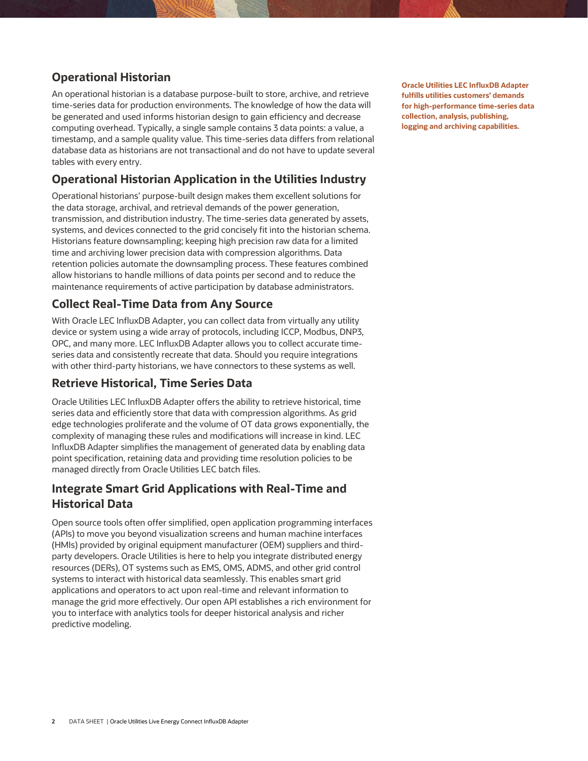#### **Operational Historian**

An operational historian is a database purpose-built to store, archive, and retrieve time-series data for production environments. The knowledge of how the data will be generated and used informs historian design to gain efficiency and decrease computing overhead. Typically, a single sample contains 3 data points: a value, a timestamp, and a sample quality value. This time-series data differs from relational database data as historians are not transactional and do not have to update several tables with every entry.

#### **Operational Historian Application in the Utilities Industry**

Operational historians' purpose-built design makes them excellent solutions for the data storage, archival, and retrieval demands of the power generation, transmission, and distribution industry. The time-series data generated by assets, systems, and devices connected to the grid concisely fit into the historian schema. Historians feature downsampling; keeping high precision raw data for a limited time and archiving lower precision data with compression algorithms. Data retention policies automate the downsampling process. These features combined allow historians to handle millions of data points per second and to reduce the maintenance requirements of active participation by database administrators.

#### **Collect Real-Time Data from Any Source**

With Oracle LEC InfluxDB Adapter, you can collect data from virtually any utility device or system using a wide array of protocols, including ICCP, Modbus, DNP3, OPC, and many more. LEC InfluxDB Adapter allows you to collect accurate timeseries data and consistently recreate that data. Should you require integrations with other third-party historians, we have connectors to these systems as well.

#### **Retrieve Historical, Time Series Data**

Oracle Utilities LEC InfluxDB Adapter offers the ability to retrieve historical, time series data and efficiently store that data with compression algorithms. As grid edge technologies proliferate and the volume of OT data grows exponentially, the complexity of managing these rules and modifications will increase in kind. LEC InfluxDB Adapter simplifies the management of generated data by enabling data point specification, retaining data and providing time resolution policies to be managed directly from Oracle Utilities LEC batch files.

#### **Integrate Smart Grid Applications with Real-Time and Historical Data**

Open source tools often offer simplified, open application programming interfaces (APIs) to move you beyond visualization screens and human machine interfaces (HMIs) provided by original equipment manufacturer (OEM) suppliers and thirdparty developers. Oracle Utilities is here to help you integrate distributed energy resources (DERs), OT systems such as EMS, OMS, ADMS, and other grid control systems to interact with historical data seamlessly. This enables smart grid applications and operators to act upon real-time and relevant information to manage the grid more effectively. Our open API establishes a rich environment for you to interface with analytics tools for deeper historical analysis and richer predictive modeling.

**Oracle Utilities LEC InfluxDB Adapter fulfills utilities customers' demands for high-performance time-series data collection, analysis, publishing, logging and archiving capabilities.**